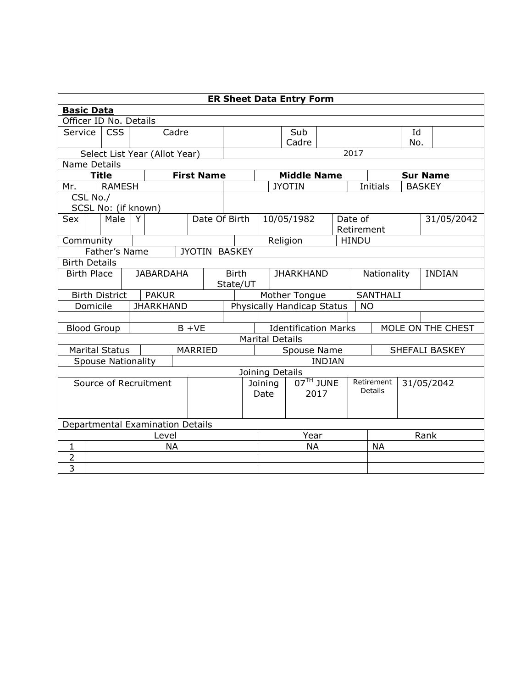|                                        | <b>ER Sheet Data Entry Form</b> |                       |   |                               |               |                   |                  |                                                                            |             |                    |             |  |               |                 |     |               |  |
|----------------------------------------|---------------------------------|-----------------------|---|-------------------------------|---------------|-------------------|------------------|----------------------------------------------------------------------------|-------------|--------------------|-------------|--|---------------|-----------------|-----|---------------|--|
| <b>Basic Data</b>                      |                                 |                       |   |                               |               |                   |                  |                                                                            |             |                    |             |  |               |                 |     |               |  |
| Officer ID No. Details                 |                                 |                       |   |                               |               |                   |                  |                                                                            |             |                    |             |  |               |                 |     |               |  |
| Service                                |                                 | <b>CSS</b>            |   | Cadre                         |               |                   | Sub              |                                                                            |             |                    |             |  | Id            |                 |     |               |  |
|                                        |                                 |                       |   |                               |               |                   |                  |                                                                            |             | Cadre              |             |  |               |                 | No. |               |  |
|                                        |                                 |                       |   | Select List Year (Allot Year) |               |                   |                  |                                                                            |             |                    |             |  | 2017          |                 |     |               |  |
| Name Details                           |                                 |                       |   |                               |               |                   |                  |                                                                            |             |                    |             |  |               |                 |     |               |  |
|                                        |                                 | <b>Title</b>          |   |                               |               | <b>First Name</b> |                  |                                                                            |             | <b>Middle Name</b> |             |  |               | <b>Sur Name</b> |     |               |  |
| Mr.                                    |                                 | <b>RAMESH</b>         |   |                               |               |                   |                  |                                                                            |             | <b>JYOTIN</b>      |             |  |               | <b>Initials</b> |     | <b>BASKEY</b> |  |
|                                        | CSL No./                        |                       |   |                               |               |                   |                  |                                                                            |             |                    |             |  |               |                 |     |               |  |
|                                        |                                 | SCSL No: (if known)   |   |                               |               |                   |                  |                                                                            |             |                    |             |  |               |                 |     |               |  |
| Sex                                    |                                 | Male                  | Y |                               |               | Date Of Birth     |                  |                                                                            |             | 10/05/1982         |             |  | Date of       |                 |     | 31/05/2042    |  |
|                                        |                                 |                       |   |                               |               |                   |                  |                                                                            |             |                    |             |  |               | Retirement      |     |               |  |
| Community                              |                                 |                       |   |                               |               |                   |                  |                                                                            |             | Religion           |             |  | <b>HINDU</b>  |                 |     |               |  |
|                                        |                                 | Father's Name         |   |                               |               | JYOTIN BASKEY     |                  |                                                                            |             |                    |             |  |               |                 |     |               |  |
|                                        | <b>Birth Details</b>            |                       |   |                               |               |                   |                  |                                                                            |             |                    |             |  |               |                 |     |               |  |
| <b>Birth Place</b><br><b>JABARDAHA</b> |                                 |                       |   | <b>Birth</b>                  |               |                   | <b>JHARKHAND</b> |                                                                            |             |                    | Nationality |  | <b>INDIAN</b> |                 |     |               |  |
|                                        |                                 |                       |   |                               |               |                   |                  | State/UT                                                                   |             |                    |             |  |               |                 |     |               |  |
|                                        |                                 | <b>Birth District</b> |   | <b>PAKUR</b>                  |               |                   |                  |                                                                            |             | Mother Tongue      |             |  |               | SANTHALI        |     |               |  |
|                                        | Domicile                        |                       |   | <b>JHARKHAND</b>              |               |                   |                  | Physically Handicap Status<br><b>NO</b>                                    |             |                    |             |  |               |                 |     |               |  |
|                                        |                                 |                       |   |                               |               |                   |                  |                                                                            |             |                    |             |  |               |                 |     |               |  |
|                                        |                                 | <b>Blood Group</b>    |   |                               | $B + VE$      |                   |                  | MOLE ON THE CHEST<br><b>Identification Marks</b><br><b>Marital Details</b> |             |                    |             |  |               |                 |     |               |  |
|                                        |                                 |                       |   |                               |               |                   |                  |                                                                            |             |                    |             |  |               |                 |     |               |  |
|                                        |                                 | <b>Marital Status</b> |   |                               |               | MARRIED           |                  | Spouse Name<br>SHEFALI BASKEY                                              |             |                    |             |  |               |                 |     |               |  |
| <b>Spouse Nationality</b>              |                                 |                       |   |                               | <b>INDIAN</b> |                   |                  |                                                                            |             |                    |             |  |               |                 |     |               |  |
|                                        | Joining Details                 |                       |   |                               |               |                   |                  |                                                                            |             |                    |             |  |               |                 |     |               |  |
| Source of Recruitment                  |                                 |                       |   |                               |               |                   | Joining          |                                                                            | $07TH$ JUNE |                    | Retirement  |  | 31/05/2042    |                 |     |               |  |
|                                        |                                 |                       |   |                               |               | Date              | 2017             |                                                                            |             | <b>Details</b>     |             |  |               |                 |     |               |  |
|                                        |                                 |                       |   |                               |               |                   |                  |                                                                            |             |                    |             |  |               |                 |     |               |  |
|                                        |                                 |                       |   |                               |               |                   |                  |                                                                            |             |                    |             |  |               |                 |     |               |  |
| Departmental Examination Details       |                                 |                       |   |                               |               |                   |                  |                                                                            |             |                    |             |  |               |                 |     |               |  |
| Level                                  |                                 |                       |   |                               |               |                   | Rank<br>Year     |                                                                            |             |                    |             |  |               |                 |     |               |  |
| $\mathbf{1}$                           | <b>NA</b>                       |                       |   |                               |               |                   | <b>NA</b>        |                                                                            |             |                    | <b>NA</b>   |  |               |                 |     |               |  |
| $\overline{2}$                         |                                 |                       |   |                               |               |                   |                  |                                                                            |             |                    |             |  |               |                 |     |               |  |
| $\overline{3}$                         |                                 |                       |   |                               |               |                   |                  |                                                                            |             |                    |             |  |               |                 |     |               |  |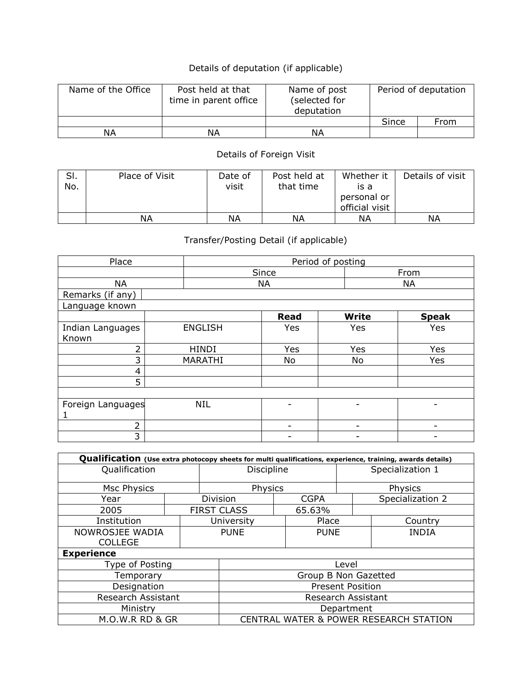## Details of deputation (if applicable)

| Name of the Office | Post held at that<br>time in parent office | Name of post<br>(selected for<br>deputation |       | Period of deputation |
|--------------------|--------------------------------------------|---------------------------------------------|-------|----------------------|
|                    |                                            |                                             | Since | From                 |
| ΝA                 | ΝA                                         | ΝA                                          |       |                      |

## Details of Foreign Visit

| SI.<br>No. | Place of Visit | Date of<br>visit | Post held at<br>that time | Whether it<br>is a<br>personal or<br>official visit | Details of visit |
|------------|----------------|------------------|---------------------------|-----------------------------------------------------|------------------|
|            | ΝA             | ΝA               | ΝA                        | ΝA                                                  | ΝA               |

## Transfer/Posting Detail (if applicable)

| Place             |                | Period of posting |              |              |  |  |  |  |  |
|-------------------|----------------|-------------------|--------------|--------------|--|--|--|--|--|
|                   |                | Since             |              | From         |  |  |  |  |  |
| <b>NA</b>         |                | <b>NA</b>         |              | <b>NA</b>    |  |  |  |  |  |
| Remarks (if any)  |                |                   |              |              |  |  |  |  |  |
| Language known    |                |                   |              |              |  |  |  |  |  |
|                   |                | <b>Read</b>       | <b>Write</b> | <b>Speak</b> |  |  |  |  |  |
| Indian Languages  | <b>ENGLISH</b> | Yes               | Yes          | Yes          |  |  |  |  |  |
| Known             |                |                   |              |              |  |  |  |  |  |
| 2                 | <b>HINDI</b>   | Yes               | Yes          | Yes          |  |  |  |  |  |
| 3                 | MARATHI        | No                | No           | Yes          |  |  |  |  |  |
| 4                 |                |                   |              |              |  |  |  |  |  |
| 5                 |                |                   |              |              |  |  |  |  |  |
|                   |                |                   |              |              |  |  |  |  |  |
| Foreign Languages | <b>NIL</b>     |                   |              |              |  |  |  |  |  |
|                   |                |                   |              |              |  |  |  |  |  |
| $\overline{2}$    |                |                   | -            | -            |  |  |  |  |  |
| 3                 |                |                   | -            | -            |  |  |  |  |  |

| Qualification (Use extra photocopy sheets for multi qualifications, experience, training, awards details) |                                        |  |                    |                  |             |  |                  |  |  |
|-----------------------------------------------------------------------------------------------------------|----------------------------------------|--|--------------------|------------------|-------------|--|------------------|--|--|
| Qualification                                                                                             | Discipline                             |  |                    | Specialization 1 |             |  |                  |  |  |
| Msc Physics                                                                                               |                                        |  | Physics            |                  |             |  | Physics          |  |  |
| Year                                                                                                      |                                        |  | Division           |                  | <b>CGPA</b> |  | Specialization 2 |  |  |
| 2005                                                                                                      |                                        |  | <b>FIRST CLASS</b> |                  | 65.63%      |  |                  |  |  |
| Institution                                                                                               |                                        |  | University         |                  | Place       |  | Country          |  |  |
| NOWROSJEE WADIA<br><b>COLLEGE</b>                                                                         |                                        |  | <b>PUNE</b>        |                  | <b>PUNE</b> |  | <b>INDIA</b>     |  |  |
| <b>Experience</b>                                                                                         |                                        |  |                    |                  |             |  |                  |  |  |
| Type of Posting                                                                                           | Level                                  |  |                    |                  |             |  |                  |  |  |
| Temporary                                                                                                 | Group B Non Gazetted                   |  |                    |                  |             |  |                  |  |  |
| Designation                                                                                               | <b>Present Position</b>                |  |                    |                  |             |  |                  |  |  |
| Research Assistant                                                                                        | <b>Research Assistant</b>              |  |                    |                  |             |  |                  |  |  |
| Ministry                                                                                                  | Department                             |  |                    |                  |             |  |                  |  |  |
| M.O.W.R RD & GR                                                                                           | CENTRAL WATER & POWER RESEARCH STATION |  |                    |                  |             |  |                  |  |  |